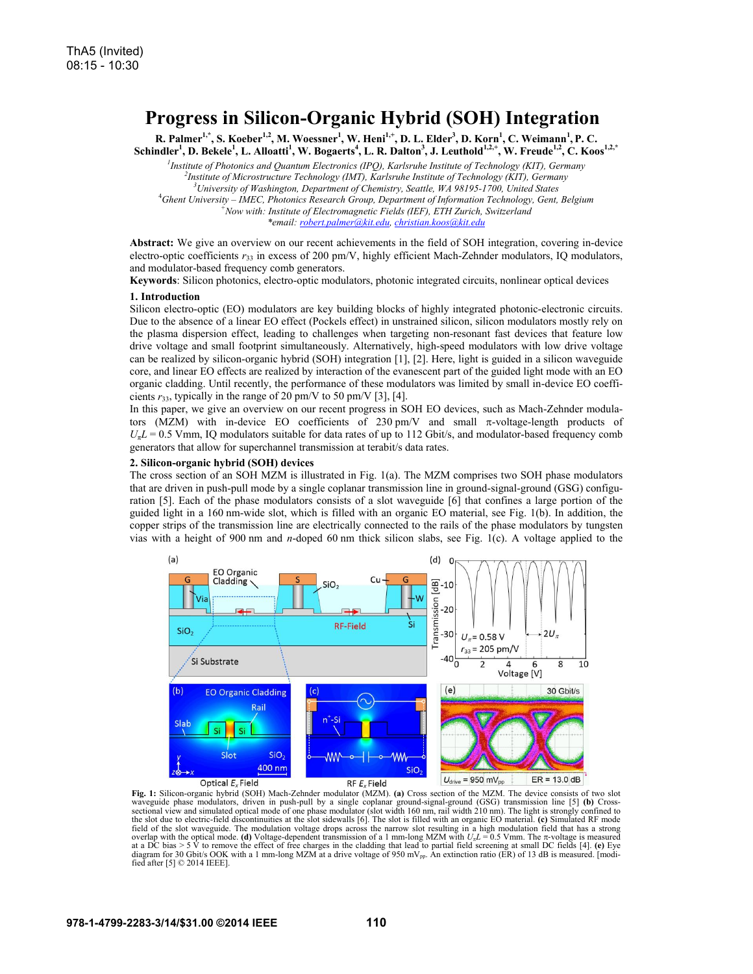# **Progress in Silicon-Organic Hybrid (SOH) Integration**

**R. Palmer<sup>1,\*</sup>, S. Koeber<sup>1,2</sup>, M. Woessner<sup>1</sup>, W. Heni<sup>1,+</sup>, D. L. Elder<sup>3</sup>, D. Korn<sup>1</sup>, C. Weimann<sup>1</sup>, P. C.** 

 $S$ chindler<sup>1</sup>, D. Bekele<sup>1</sup>, L. Alloatti<sup>1</sup>, W. Bogaerts<sup>4</sup>, L. R. Dalton<sup>3</sup>, J. Leuthold<sup>1,2,+</sup>, W. Freude<sup>1,2</sup>, C. Koos<sup>1,2,\*</sup>

<sup>1</sup> *Institute of Photonics and Quantum Electronics (IPQ), Karlsruhe Institute of Technology (KIT), Germany*<br>
<sup>2</sup> *Institute of Migrostruature Technology (IMT), Karlsruhe Institute of Technology (KIT), Germany Institute of Microstructure Technology (IMT), Karlsruhe Institute of Technology (KIT), Germany*  <sup>3</sup><br>
<sup>3</sup> University of Washington, Department of Chemistry, Seattle, WA 98195-1700, United States<br>
<sup>4</sup> Chart University MEC, Photonics Besearch Crown, Department of Information Technology, Cent *Ghent University – IMEC, Photonics Research Group, Department of Information Technology, Gent, Belgium + Now with: Institute of Electromagnetic Fields (IEF), ETH Zurich, Switzerland \*email: robert.palmer@kit.edu, christian.koos@kit.edu*

**Abstract:** We give an overview on our recent achievements in the field of SOH integration, covering in-device electro-optic coefficients  $r_{33}$  in excess of 200 pm/V, highly efficient Mach-Zehnder modulators, IQ modulators, and modulator-based frequency comb generators.

**Keywords**: Silicon photonics, electro-optic modulators, photonic integrated circuits, nonlinear optical devices

## **1. Introduction**

Silicon electro-optic (EO) modulators are key building blocks of highly integrated photonic-electronic circuits. Due to the absence of a linear EO effect (Pockels effect) in unstrained silicon, silicon modulators mostly rely on the plasma dispersion effect, leading to challenges when targeting non-resonant fast devices that feature low drive voltage and small footprint simultaneously. Alternatively, high-speed modulators with low drive voltage can be realized by silicon-organic hybrid (SOH) integration [1], [2]. Here, light is guided in a silicon waveguide core, and linear EO effects are realized by interaction of the evanescent part of the guided light mode with an EO organic cladding. Until recently, the performance of these modulators was limited by small in-device EO coefficients  $r_{33}$ , typically in the range of 20 pm/V to 50 pm/V [3], [4].

In this paper, we give an overview on our recent progress in SOH EO devices, such as Mach-Zehnder modulators (MZM) with in-device EO coefficients of  $230 \text{ pm/V}$  and small  $\pi$ -voltage-length products of  $U<sub>\pi</sub>$ *L* = 0.5 Vmm, IQ modulators suitable for data rates of up to 112 Gbit/s, and modulator-based frequency comb generators that allow for superchannel transmission at terabit/s data rates.

## **2. Silicon-organic hybrid (SOH) devices**

The cross section of an SOH MZM is illustrated in Fig. 1(a). The MZM comprises two SOH phase modulators that are driven in push-pull mode by a single coplanar transmission line in ground-signal-ground (GSG) configuration [5]. Each of the phase modulators consists of a slot waveguide [6] that confines a large portion of the guided light in a 160 nm-wide slot, which is filled with an organic EO material, see Fig. 1(b). In addition, the copper strips of the transmission line are electrically connected to the rails of the phase modulators by tungsten vias with a height of 900 nm and *n*-doped 60 nm thick silicon slabs, see Fig. 1(c). A voltage applied to the



**Fig. 1:** Silicon-organic hybrid (SOH) Mach-Zehnder modulator (MZM). **(a)** Cross section of the MZM. The device consists of two slot waveguide phase modulators, driven in push-pull by a single coplanar ground-signal-ground (GSG) transmission line [5] (b) Cross-<br>sectional view and simulated optical mode of one phase modulator (slot width 160 nm, rail wid the slot due to electric-field discontinuities at the slot sidewalls [6]. The slot is filled with an organic EO material. (c) Simulated RF mode field of the slot waveguide. The modulation voltage drops across the narrow sl overlap with the optical mode. (d) Voltage-dependent transmission of a 1 mm-long MZM with  $U<sub>n</sub>L = 0.5$  Vmm. The  $\pi$ -voltage is measured at a DC bias > 5 V to remove the effect of free charges in the cladding that lead to partial field screening at small DC fields [4]. (e) Eye<br>diagram for 30 Gbit/s OOK with a 1 mm-long MZM at a drive voltage of 950 mV<sub>pp</sub>. fied after [5] © 2014 IEEE].